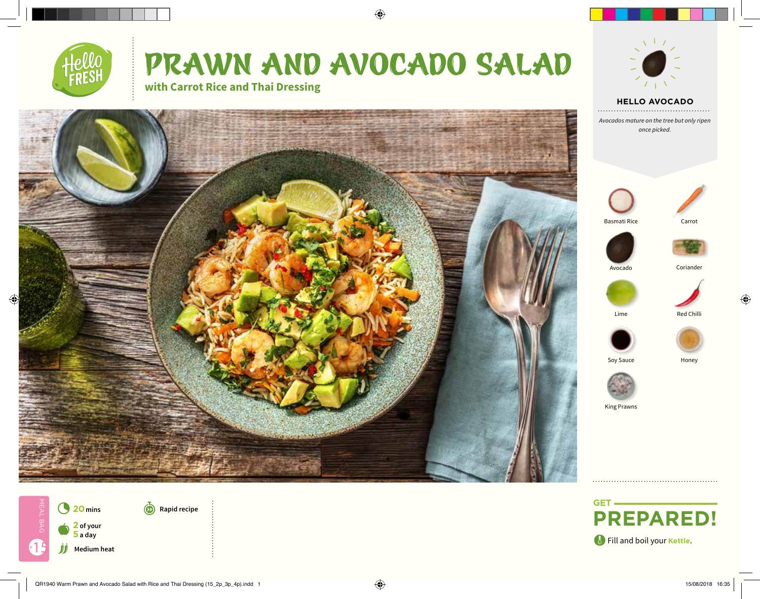



 $\bigoplus$